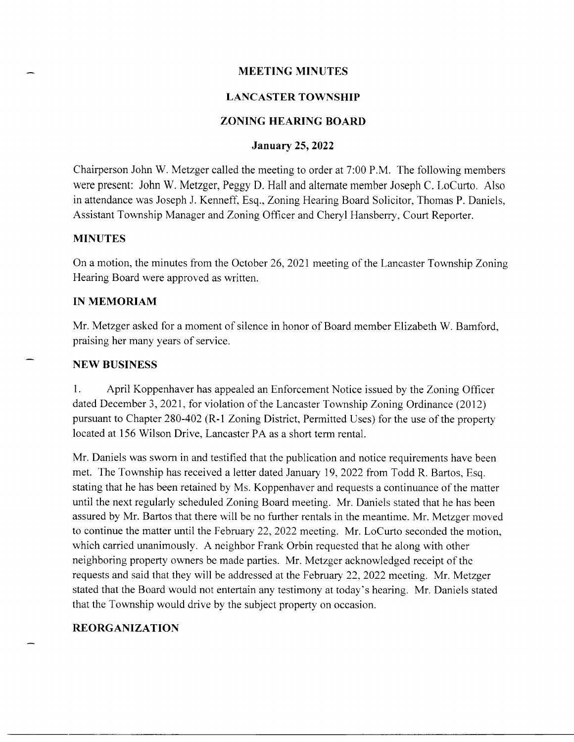# MEETING MINUTES

# LANCASTER TOWNSHIP

# ZONING HEARING BOARI)

# January 25, 2022

Chairperson John W. Metzger called the meeting to order at 7:00 P.M. The following members were present: John W. Metzger, Peggy D. Hall and alternate member Joseph C. LoCurto. Also in attendance was Joseph J. Kenneff, Esq., Zoning Hearing Board Solicitor, Thomas P. Daniels, Assistant Township Manager and Zoning Officer and Cheryl Hansberry, Court Reporter.

#### MINUTES

On a motion, the minutes from the October 26, 2021 meeting of the Lancaster Township Zoning Hearing Board were approved as written.

### IN MEMORIAM

Mr. Metzger asked for a moment of silence in honor of Board member Elizabeth W. Bamford, praising her many years of service.

#### NEW BUSINESS

1. April Koppenhaver has appealed an Enforcement Notice issued by the Zoning Officer dated December 3, 2021, for violation of the Lancaster Township Zoning Ordinance (2012) pursuant to Chapter 280-402 (R-1 Zoning District, Permitted Uses) for the use of the property located at 156 Wilson Drive, Lancaster PA as a short term rental.

Mr. Daniels was sworn in and testified that the publication and notice requirements have been met. The Township has received a letter dated January 79,2022 from Todd R. Bartos, Esq. stating that he has been retained by Ms. Koppenhaver and requests a continuance of the matter until the next regularly scheduled Zoning Board meeting. Mr. Daniels stated that he has been assured by Mr. Bartos that there will be no further rentals in the meantime. Mr. Metzger moved to continue the matter until the February 22,2022 meeting. Mr. LoCurto seconded the motion, which carried unanimously. A neighbor Frank Orbin requested that he along with other neighboring property owners be made parties. Mr. Metzger acknowledged receipt of the requests and said that they will be addressed at the February 22,2022 meeting. Mr. Metzger stated that the Board would not entertain any testimony at today's hearing. Mr. Daniels stated that the Township would drive by the subject property on occasion.

#### REORGANIZATION